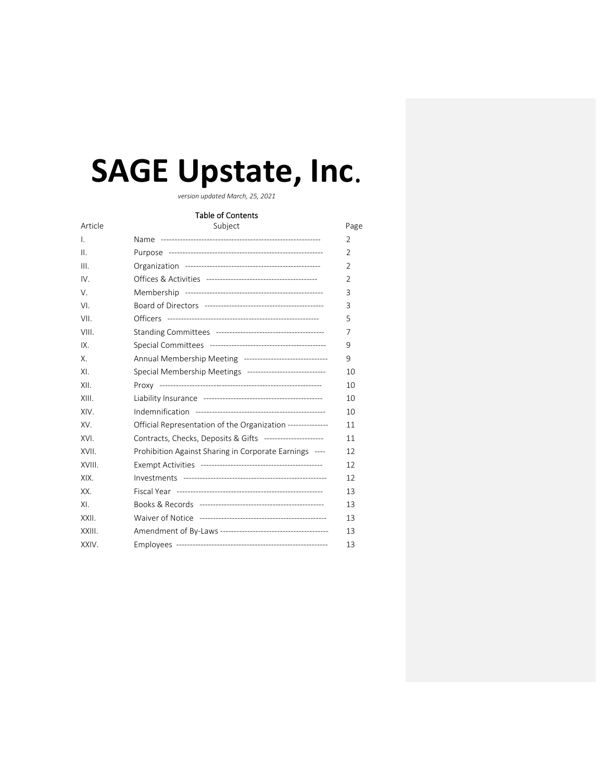# **SAGE Upstate, Inc**.

*version updated March, 25, 2021*

# Table of Contents

| Article | Subject                                                     | Page           |
|---------|-------------------------------------------------------------|----------------|
| Ι.      |                                                             | $\overline{2}$ |
| Ш.      |                                                             | $\overline{2}$ |
| III.    |                                                             | $\overline{2}$ |
| IV.     |                                                             | $\overline{2}$ |
| V.      |                                                             | 3              |
| VI.     |                                                             | 3              |
| VII.    |                                                             | 5              |
| VIII.   |                                                             | 7              |
| IX.     |                                                             | 9              |
| Χ.      | Annual Membership Meeting ------------------------------    | 9              |
| XI.     | Special Membership Meetings -----------------------------   | 10             |
| XII.    |                                                             | 10             |
| XIII.   |                                                             | 10             |
| XIV.    |                                                             | 10             |
| XV.     | Official Representation of the Organization --------------- | 11             |
| XVI.    | Contracts, Checks, Deposits & Gifts ----------------------  | 11             |
| XVII.   | Prohibition Against Sharing in Corporate Earnings ----      | 12             |
| XVIII.  |                                                             | 12             |
| XIX.    |                                                             | 12             |
| XX.     |                                                             | 13             |
| XI.     |                                                             | 13             |
| XXII.   |                                                             | 13             |
| XXIII.  |                                                             | 13             |
| XXIV.   |                                                             | 13             |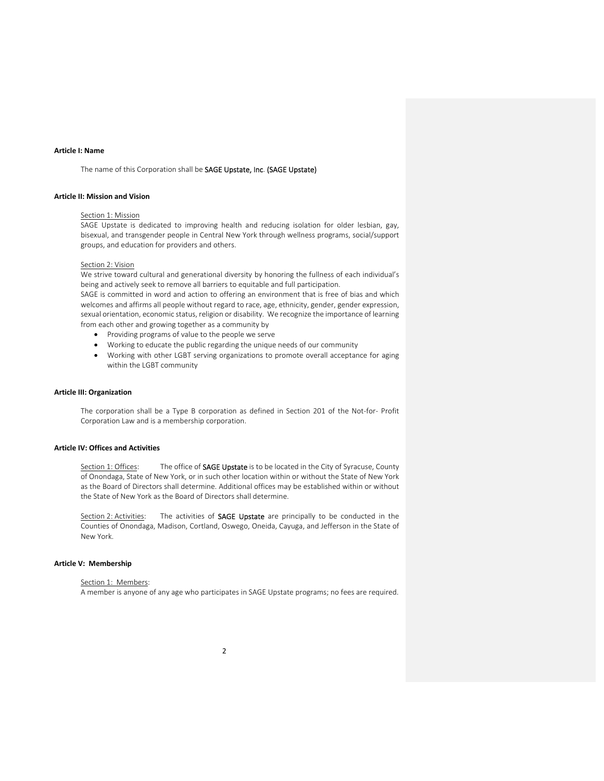## **Article I: Name**

The name of this Corporation shall be SAGE Upstate, Inc. (SAGE Upstate)

## **Article II: Mission and Vision**

#### Section 1: Mission

SAGE Upstate is dedicated to improving health and reducing isolation for older lesbian, gay, bisexual, and transgender people in Central New York through wellness programs, social/support groups, and education for providers and others.

#### Section 2: Vision

We strive toward cultural and generational diversity by honoring the fullness of each individual's being and actively seek to remove all barriers to equitable and full participation.

SAGE is committed in word and action to offering an environment that is free of bias and which welcomes and affirms all people without regard to race, age, ethnicity, gender, gender expression, sexual orientation, economic status, religion or disability. We recognize the importance of learning from each other and growing together as a community by

- Providing programs of value to the people we serve
- Working to educate the public regarding the unique needs of our community
- Working with other LGBT serving organizations to promote overall acceptance for aging within the LGBT community

#### **Article III: Organization**

The corporation shall be a Type B corporation as defined in Section 201 of the Not-for- Profit Corporation Law and is a membership corporation.

# **Article IV: Offices and Activities**

Section 1: Offices: The office of SAGE Upstate is to be located in the City of Syracuse, County of Onondaga, State of New York, or in such other location within or without the State of New York as the Board of Directors shall determine. Additional offices may be established within or without the State of New York as the Board of Directors shall determine.

Section 2: Activities: The activities of SAGE Upstate are principally to be conducted in the Counties of Onondaga, Madison, Cortland, Oswego, Oneida, Cayuga, and Jefferson in the State of New York.

# **Article V: Membership**

Section 1: Members: A member is anyone of any age who participates in SAGE Upstate programs; no fees are required.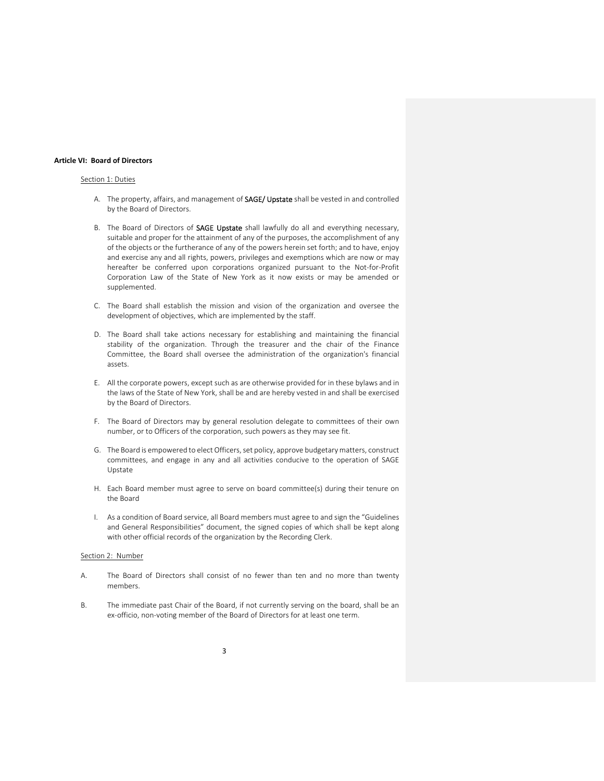#### **Article VI: Board of Directors**

## Section 1: Duties

- A. The property, affairs, and management of SAGE/ Upstate shall be vested in and controlled by the Board of Directors.
- B. The Board of Directors of SAGE Upstate shall lawfully do all and everything necessary, suitable and proper for the attainment of any of the purposes, the accomplishment of any of the objects or the furtherance of any of the powers herein set forth; and to have, enjoy and exercise any and all rights, powers, privileges and exemptions which are now or may hereafter be conferred upon corporations organized pursuant to the Not-for-Profit Corporation Law of the State of New York as it now exists or may be amended or supplemented.
- C. The Board shall establish the mission and vision of the organization and oversee the development of objectives, which are implemented by the staff.
- D. The Board shall take actions necessary for establishing and maintaining the financial stability of the organization. Through the treasurer and the chair of the Finance Committee, the Board shall oversee the administration of the organization's financial assets.
- E. All the corporate powers, except such as are otherwise provided for in these bylaws and in the laws of the State of New York, shall be and are hereby vested in and shall be exercised by the Board of Directors.
- F. The Board of Directors may by general resolution delegate to committees of their own number, or to Officers of the corporation, such powers as they may see fit.
- G. The Board is empowered to elect Officers, set policy, approve budgetary matters, construct committees, and engage in any and all activities conducive to the operation of SAGE Upstate
- H. Each Board member must agree to serve on board committee(s) during their tenure on the Board
- I. As a condition of Board service, all Board members must agree to and sign the "Guidelines and General Responsibilities" document, the signed copies of which shall be kept along with other official records of the organization by the Recording Clerk.

## Section 2: Number

- A. The Board of Directors shall consist of no fewer than ten and no more than twenty members.
- B. The immediate past Chair of the Board, if not currently serving on the board, shall be an ex‐officio, non‐voting member of the Board of Directors for at least one term.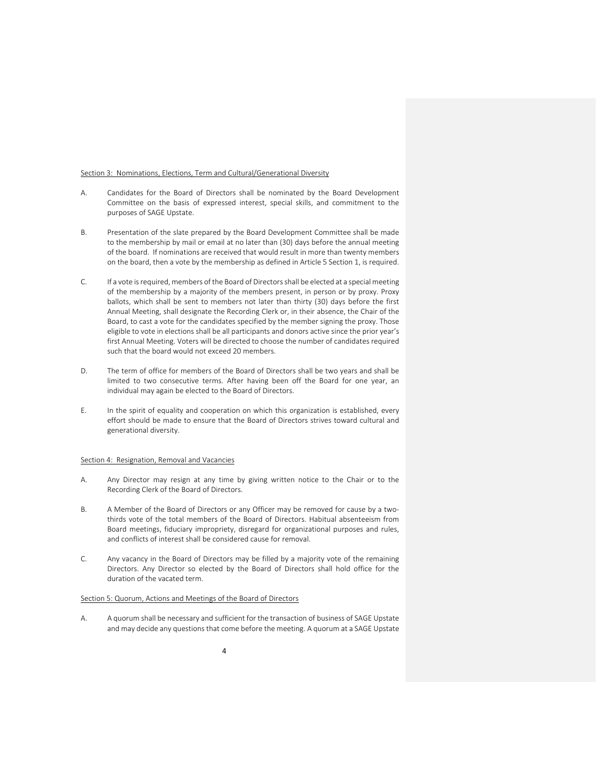#### Section 3: Nominations, Elections, Term and Cultural/Generational Diversity

- A. Candidates for the Board of Directors shall be nominated by the Board Development Committee on the basis of expressed interest, special skills, and commitment to the purposes of SAGE Upstate.
- B. Presentation of the slate prepared by the Board Development Committee shall be made to the membership by mail or email at no later than (30) days before the annual meeting of the board. If nominations are received that would result in more than twenty members on the board, then a vote by the membership as defined in Article 5 Section 1, is required.
- C. If a vote isrequired, members of the Board of Directorsshall be elected at a special meeting of the membership by a majority of the members present, in person or by proxy. Proxy ballots, which shall be sent to members not later than thirty (30) days before the first Annual Meeting, shall designate the Recording Clerk or, in their absence, the Chair of the Board, to cast a vote for the candidates specified by the member signing the proxy. Those eligible to vote in elections shall be all participants and donors active since the prior year's first Annual Meeting. Voters will be directed to choose the number of candidates required such that the board would not exceed 20 members.
- D. The term of office for members of the Board of Directors shall be two years and shall be limited to two consecutive terms. After having been off the Board for one year, an individual may again be elected to the Board of Directors.
- E. In the spirit of equality and cooperation on which this organization is established, every effort should be made to ensure that the Board of Directors strives toward cultural and generational diversity.

#### Section 4: Resignation, Removal and Vacancies

- A. Any Director may resign at any time by giving written notice to the Chair or to the Recording Clerk of the Board of Directors.
- B. A Member of the Board of Directors or any Officer may be removed for cause by a twothirds vote of the total members of the Board of Directors. Habitual absenteeism from Board meetings, fiduciary impropriety, disregard for organizational purposes and rules, and conflicts of interest shall be considered cause for removal.
- C. Any vacancy in the Board of Directors may be filled by a majority vote of the remaining Directors. Any Director so elected by the Board of Directors shall hold office for the duration of the vacated term.

## Section 5: Quorum, Actions and Meetings of the Board of Directors

A. A quorum shall be necessary and sufficient for the transaction of business of SAGE Upstate and may decide any questions that come before the meeting. A quorum at a SAGE Upstate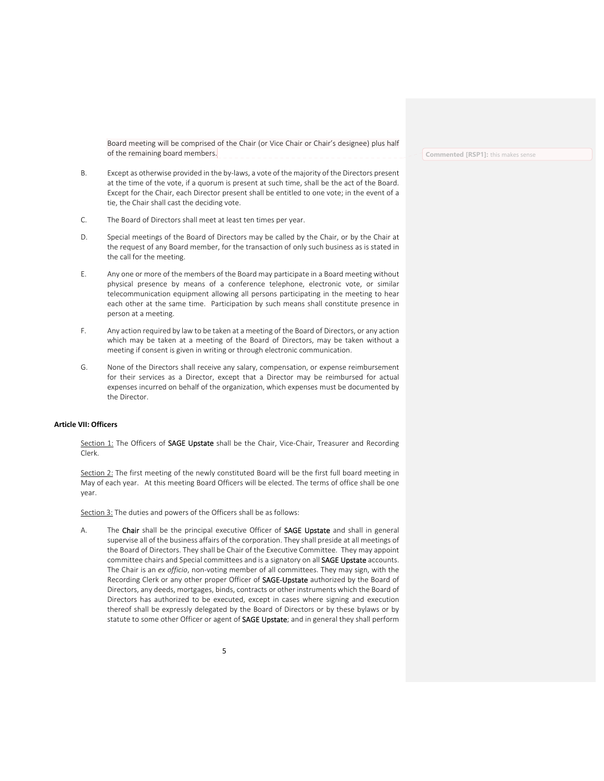Board meeting will be comprised of the Chair (or Vice Chair or Chair's designee) plus half of the remaining board members.

- B. Except as otherwise provided in the by‐laws, a vote of the majority of the Directors present at the time of the vote, if a quorum is present at such time, shall be the act of the Board. Except for the Chair, each Director present shall be entitled to one vote; in the event of a tie, the Chair shall cast the deciding vote.
- C. The Board of Directors shall meet at least ten times per year.
- D. Special meetings of the Board of Directors may be called by the Chair, or by the Chair at the request of any Board member, for the transaction of only such business as is stated in the call for the meeting.
- E. Any one or more of the members of the Board may participate in a Board meeting without physical presence by means of a conference telephone, electronic vote, or similar telecommunication equipment allowing all persons participating in the meeting to hear each other at the same time. Participation by such means shall constitute presence in person at a meeting.
- F. Any action required by law to be taken at a meeting of the Board of Directors, or any action which may be taken at a meeting of the Board of Directors, may be taken without a meeting if consent is given in writing or through electronic communication.
- G. None of the Directors shall receive any salary, compensation, or expense reimbursement for their services as a Director, except that a Director may be reimbursed for actual expenses incurred on behalf of the organization, which expenses must be documented by the Director.

#### **Article VII: Officers**

Section 1: The Officers of SAGE Upstate shall be the Chair, Vice-Chair, Treasurer and Recording Clerk.

Section 2: The first meeting of the newly constituted Board will be the first full board meeting in May of each year. At this meeting Board Officers will be elected. The terms of office shall be one year.

Section 3: The duties and powers of the Officers shall be as follows:

A. The Chair shall be the principal executive Officer of SAGE Upstate and shall in general supervise all of the business affairs of the corporation. They shall preside at all meetings of the Board of Directors. They shall be Chair of the Executive Committee. They may appoint committee chairs and Special committees and is a signatory on all SAGE Upstate accounts. The Chair is an *ex officio*, non‐voting member of all committees. They may sign, with the Recording Clerk or any other proper Officer of SAGE-Upstate authorized by the Board of Directors, any deeds, mortgages, binds, contracts or other instruments which the Board of Directors has authorized to be executed, except in cases where signing and execution thereof shall be expressly delegated by the Board of Directors or by these bylaws or by statute to some other Officer or agent of SAGE Upstate; and in general they shall perform

#### **Commented [RSP1]:** this makes sense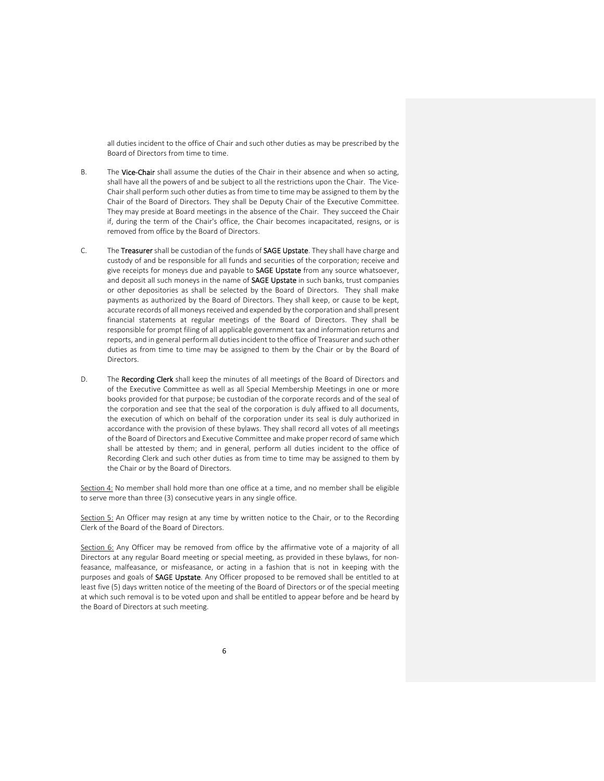all duties incident to the office of Chair and such other duties as may be prescribed by the Board of Directors from time to time.

- B. The Vice-Chair shall assume the duties of the Chair in their absence and when so acting, shall have all the powers of and be subject to all the restrictions upon the Chair. The Vice-Chair shall perform such other duties as from time to time may be assigned to them by the Chair of the Board of Directors. They shall be Deputy Chair of the Executive Committee. They may preside at Board meetings in the absence of the Chair. They succeed the Chair if, during the term of the Chair's office, the Chair becomes incapacitated, resigns, or is removed from office by the Board of Directors.
- C. The Treasurer shall be custodian of the funds of SAGE Upstate. They shall have charge and custody of and be responsible for all funds and securities of the corporation; receive and give receipts for moneys due and payable to SAGE Upstate from any source whatsoever, and deposit all such moneys in the name of **SAGE Upstate** in such banks, trust companies or other depositories as shall be selected by the Board of Directors. They shall make payments as authorized by the Board of Directors. They shall keep, or cause to be kept, accurate records of all moneys received and expended by the corporation and shall present financial statements at regular meetings of the Board of Directors. They shall be responsible for prompt filing of all applicable government tax and information returns and reports, and in general perform all duties incident to the office of Treasurer and such other duties as from time to time may be assigned to them by the Chair or by the Board of Directors.
- D. The Recording Clerk shall keep the minutes of all meetings of the Board of Directors and of the Executive Committee as well as all Special Membership Meetings in one or more books provided for that purpose; be custodian of the corporate records and of the seal of the corporation and see that the seal of the corporation is duly affixed to all documents, the execution of which on behalf of the corporation under its seal is duly authorized in accordance with the provision of these bylaws. They shall record all votes of all meetings of the Board of Directors and Executive Committee and make proper record of same which shall be attested by them; and in general, perform all duties incident to the office of Recording Clerk and such other duties as from time to time may be assigned to them by the Chair or by the Board of Directors.

Section 4: No member shall hold more than one office at a time, and no member shall be eligible to serve more than three (3) consecutive years in any single office.

Section 5: An Officer may resign at any time by written notice to the Chair, or to the Recording Clerk of the Board of the Board of Directors.

Section 6: Any Officer may be removed from office by the affirmative vote of a majority of all Directors at any regular Board meeting or special meeting, as provided in these bylaws, for nonfeasance, malfeasance, or misfeasance, or acting in a fashion that is not in keeping with the purposes and goals of **SAGE Upstate**. Any Officer proposed to be removed shall be entitled to at least five (5) days written notice of the meeting of the Board of Directors or of the special meeting at which such removal is to be voted upon and shall be entitled to appear before and be heard by the Board of Directors at such meeting.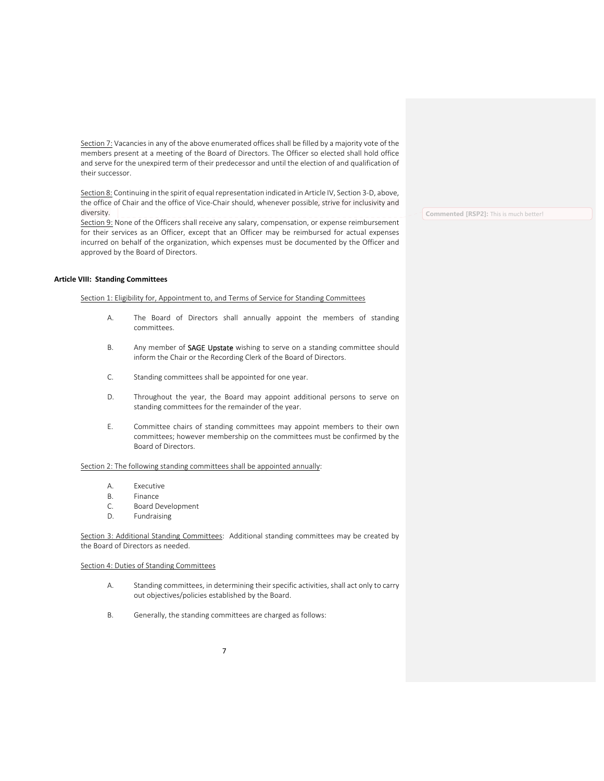Section 7: Vacancies in any of the above enumerated offices shall be filled by a majority vote of the members present at a meeting of the Board of Directors. The Officer so elected shall hold office and serve for the unexpired term of their predecessor and until the election of and qualification of their successor.

Section 8: Continuing in the spirit of equal representation indicated in Article IV, Section 3-D, above, the office of Chair and the office of Vice-Chair should, whenever possible, strive for inclusivity and diversity.

Section 9: None of the Officers shall receive any salary, compensation, or expense reimbursement for their services as an Officer, except that an Officer may be reimbursed for actual expenses incurred on behalf of the organization, which expenses must be documented by the Officer and approved by the Board of Directors.

## **Article VIII: Standing Committees**

Section 1: Eligibility for, Appointment to, and Terms of Service for Standing Committees

- A. The Board of Directors shall annually appoint the members of standing committees.
- B. Any member of SAGE Upstate wishing to serve on a standing committee should inform the Chair or the Recording Clerk of the Board of Directors.
- C. Standing committees shall be appointed for one year.
- D. Throughout the year, the Board may appoint additional persons to serve on standing committees for the remainder of the year.
- E. Committee chairs of standing committees may appoint members to their own committees; however membership on the committees must be confirmed by the Board of Directors.

# Section 2: The following standing committees shall be appointed annually:

- A. Executive
- B. Finance
- C. Board Development
- D. Fundraising

Section 3: Additional Standing Committees: Additional standing committees may be created by the Board of Directors as needed.

## Section 4: Duties of Standing Committees

- A. Standing committees, in determining their specific activities, shall act only to carry out objectives/policies established by the Board.
- B. Generally, the standing committees are charged as follows:

**Commented [RSP2]:** This is much better!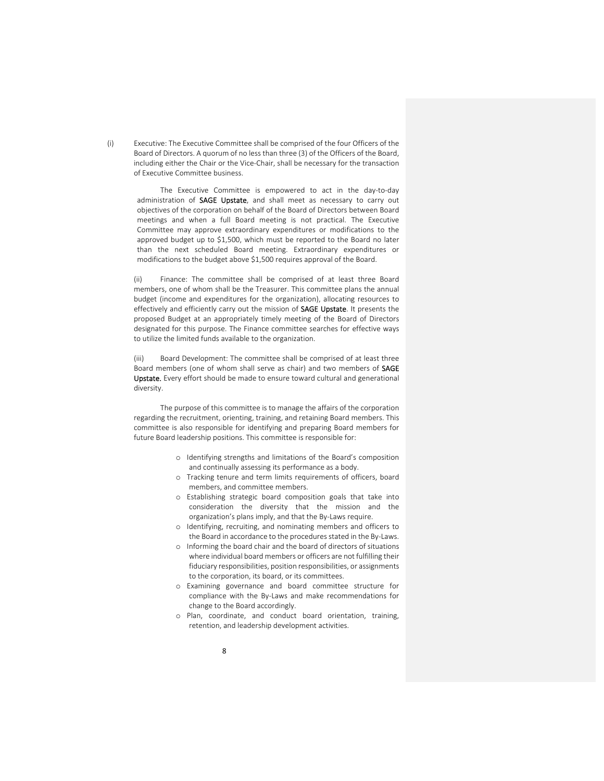(i) Executive: The Executive Committee shall be comprised of the four Officers of the Board of Directors. A quorum of no less than three (3) of the Officers of the Board, including either the Chair or the Vice‐Chair, shall be necessary for the transaction of Executive Committee business.

> The Executive Committee is empowered to act in the day‐to‐day administration of SAGE Upstate, and shall meet as necessary to carry out objectives of the corporation on behalf of the Board of Directors between Board meetings and when a full Board meeting is not practical. The Executive Committee may approve extraordinary expenditures or modifications to the approved budget up to \$1,500, which must be reported to the Board no later than the next scheduled Board meeting. Extraordinary expenditures or modifications to the budget above \$1,500 requires approval of the Board.

(ii) Finance: The committee shall be comprised of at least three Board members, one of whom shall be the Treasurer. This committee plans the annual budget (income and expenditures for the organization), allocating resources to effectively and efficiently carry out the mission of SAGE Upstate. It presents the proposed Budget at an appropriately timely meeting of the Board of Directors designated for this purpose. The Finance committee searches for effective ways to utilize the limited funds available to the organization.

(iii) Board Development: The committee shall be comprised of at least three Board members (one of whom shall serve as chair) and two members of SAGE Upstate. Every effort should be made to ensure toward cultural and generational diversity.

The purpose of this committee is to manage the affairs of the corporation regarding the recruitment, orienting, training, and retaining Board members. This committee is also responsible for identifying and preparing Board members for future Board leadership positions. This committee is responsible for:

- o Identifying strengths and limitations of the Board's composition and continually assessing its performance as a body.
- o Tracking tenure and term limits requirements of officers, board members, and committee members.
- o Establishing strategic board composition goals that take into consideration the diversity that the mission and the organization's plans imply, and that the By‐Laws require.
- o Identifying, recruiting, and nominating members and officers to the Board in accordance to the procedures stated in the By‐Laws.
- o Informing the board chair and the board of directors of situations where individual board members or officers are not fulfilling their fiduciary responsibilities, position responsibilities, or assignments to the corporation, its board, or its committees.
- o Examining governance and board committee structure for compliance with the By‐Laws and make recommendations for change to the Board accordingly.
- o Plan, coordinate, and conduct board orientation, training, retention, and leadership development activities.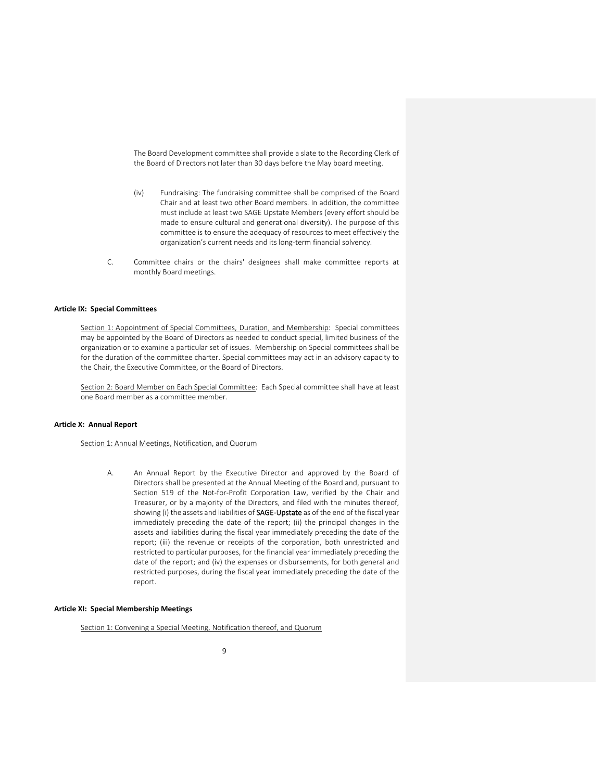The Board Development committee shall provide a slate to the Recording Clerk of the Board of Directors not later than 30 days before the May board meeting.

- (iv) Fundraising: The fundraising committee shall be comprised of the Board Chair and at least two other Board members. In addition, the committee must include at least two SAGE Upstate Members (every effort should be made to ensure cultural and generational diversity). The purpose of this committee is to ensure the adequacy of resources to meet effectively the organization's current needs and its long‐term financial solvency.
- C. Committee chairs or the chairs' designees shall make committee reports at monthly Board meetings.

#### **Article IX: Special Committees**

Section 1: Appointment of Special Committees, Duration, and Membership: Special committees may be appointed by the Board of Directors as needed to conduct special, limited business of the organization or to examine a particular set of issues. Membership on Special committees shall be for the duration of the committee charter. Special committees may act in an advisory capacity to the Chair, the Executive Committee, or the Board of Directors.

Section 2: Board Member on Each Special Committee: Each Special committee shall have at least one Board member as a committee member.

## **Article X: Annual Report**

## Section 1: Annual Meetings, Notification, and Quorum

A. An Annual Report by the Executive Director and approved by the Board of Directors shall be presented at the Annual Meeting of the Board and, pursuant to Section 519 of the Not-for-Profit Corporation Law, verified by the Chair and Treasurer, or by a majority of the Directors, and filed with the minutes thereof, showing (i) the assets and liabilities of SAGE-Upstate as of the end of the fiscal year immediately preceding the date of the report; (ii) the principal changes in the assets and liabilities during the fiscal year immediately preceding the date of the report; (iii) the revenue or receipts of the corporation, both unrestricted and restricted to particular purposes, for the financial year immediately preceding the date of the report; and (iv) the expenses or disbursements, for both general and restricted purposes, during the fiscal year immediately preceding the date of the report.

## **Article XI: Special Membership Meetings**

Section 1: Convening a Special Meeting, Notification thereof, and Quorum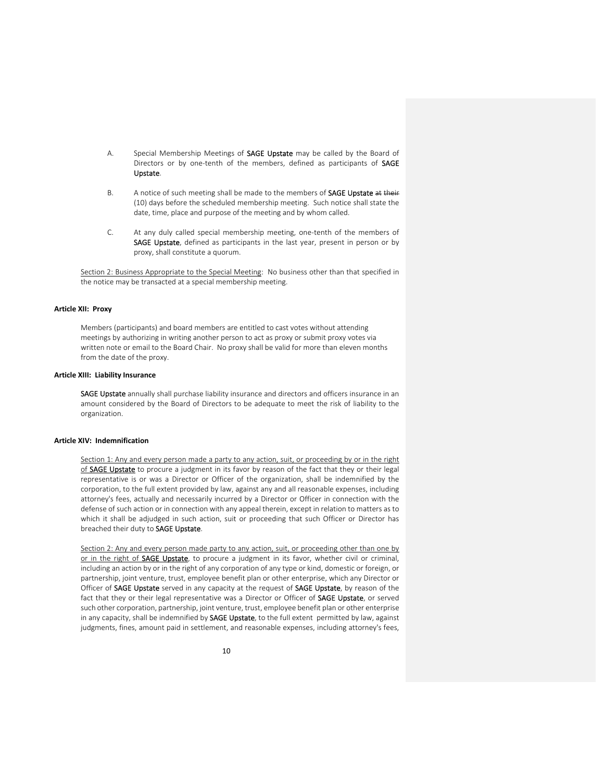- A. Special Membership Meetings of **SAGE Upstate** may be called by the Board of Directors or by one-tenth of the members, defined as participants of SAGE Upstate.
- B. A notice of such meeting shall be made to the members of **SAGE Upstate** at their (10) days before the scheduled membership meeting. Such notice shall state the date, time, place and purpose of the meeting and by whom called.
- C. At any duly called special membership meeting, one‐tenth of the members of SAGE Upstate, defined as participants in the last year, present in person or by proxy, shall constitute a quorum.

Section 2: Business Appropriate to the Special Meeting: No business other than that specified in the notice may be transacted at a special membership meeting.

## **Article XII: Proxy**

Members (participants) and board members are entitled to cast votes without attending meetings by authorizing in writing another person to act as proxy or submit proxy votes via written note or email to the Board Chair. No proxy shall be valid for more than eleven months from the date of the proxy.

## **Article XIII: Liability Insurance**

SAGE Upstate annually shall purchase liability insurance and directors and officers insurance in an amount considered by the Board of Directors to be adequate to meet the risk of liability to the organization.

#### **Article XIV: Indemnification**

Section 1: Any and every person made a party to any action, suit, or proceeding by or in the right of SAGE Upstate to procure a judgment in its favor by reason of the fact that they or their legal representative is or was a Director or Officer of the organization, shall be indemnified by the corporation, to the full extent provided by law, against any and all reasonable expenses, including attorney's fees, actually and necessarily incurred by a Director or Officer in connection with the defense of such action or in connection with any appeal therein, except in relation to matters as to which it shall be adjudged in such action, suit or proceeding that such Officer or Director has breached their duty to SAGE Upstate.

Section 2: Any and every person made party to any action, suit, or proceeding other than one by or in the right of **SAGE Upstate**, to procure a judgment in its favor, whether civil or criminal, including an action by or in the right of any corporation of any type or kind, domestic or foreign, or partnership, joint venture, trust, employee benefit plan or other enterprise, which any Director or Officer of SAGE Upstate served in any capacity at the request of SAGE Upstate, by reason of the fact that they or their legal representative was a Director or Officer of SAGE Upstate, or served such other corporation, partnership, joint venture, trust, employee benefit plan or other enterprise in any capacity, shall be indemnified by SAGE Upstate, to the full extent permitted by law, against judgments, fines, amount paid in settlement, and reasonable expenses, including attorney's fees,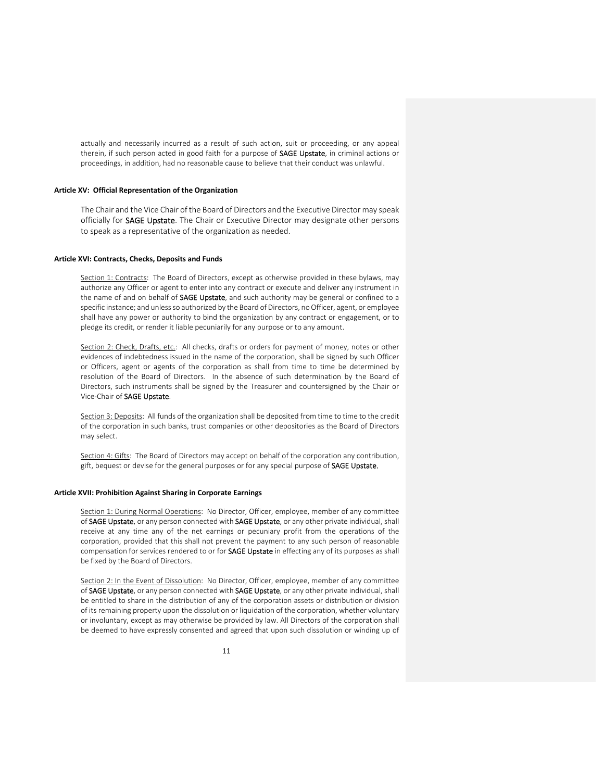actually and necessarily incurred as a result of such action, suit or proceeding, or any appeal therein, if such person acted in good faith for a purpose of SAGE Upstate, in criminal actions or proceedings, in addition, had no reasonable cause to believe that their conduct was unlawful.

## **Article XV: Official Representation of the Organization**

The Chair and the Vice Chair of the Board of Directors and the Executive Director may speak officially for **SAGE Upstate**. The Chair or Executive Director may designate other persons to speak as a representative of the organization as needed.

## **Article XVI: Contracts, Checks, Deposits and Funds**

Section 1: Contracts: The Board of Directors, except as otherwise provided in these bylaws, may authorize any Officer or agent to enter into any contract or execute and deliver any instrument in the name of and on behalf of **SAGE Upstate**, and such authority may be general or confined to a specific instance; and unless so authorized by the Board of Directors, no Officer, agent, or employee shall have any power or authority to bind the organization by any contract or engagement, or to pledge its credit, or render it liable pecuniarily for any purpose or to any amount.

Section 2: Check, Drafts, etc.: All checks, drafts or orders for payment of money, notes or other evidences of indebtedness issued in the name of the corporation, shall be signed by such Officer or Officers, agent or agents of the corporation as shall from time to time be determined by resolution of the Board of Directors. In the absence of such determination by the Board of Directors, such instruments shall be signed by the Treasurer and countersigned by the Chair or Vice‐Chair of SAGE Upstate.

Section 3: Deposits: All funds of the organization shall be deposited from time to time to the credit of the corporation in such banks, trust companies or other depositories as the Board of Directors may select.

Section 4: Gifts: The Board of Directors may accept on behalf of the corporation any contribution, gift, bequest or devise for the general purposes or for any special purpose of SAGE Upstate.

## **Article XVII: Prohibition Against Sharing in Corporate Earnings**

Section 1: During Normal Operations: No Director, Officer, employee, member of any committee of SAGE Upstate, or any person connected with SAGE Upstate, or any other private individual, shall receive at any time any of the net earnings or pecuniary profit from the operations of the corporation, provided that this shall not prevent the payment to any such person of reasonable compensation for services rendered to or for SAGE Upstate in effecting any of its purposes as shall be fixed by the Board of Directors.

Section 2: In the Event of Dissolution: No Director, Officer, employee, member of any committee of SAGE Upstate, or any person connected with SAGE Upstate, or any other private individual, shall be entitled to share in the distribution of any of the corporation assets or distribution or division of its remaining property upon the dissolution or liquidation of the corporation, whether voluntary or involuntary, except as may otherwise be provided by law. All Directors of the corporation shall be deemed to have expressly consented and agreed that upon such dissolution or winding up of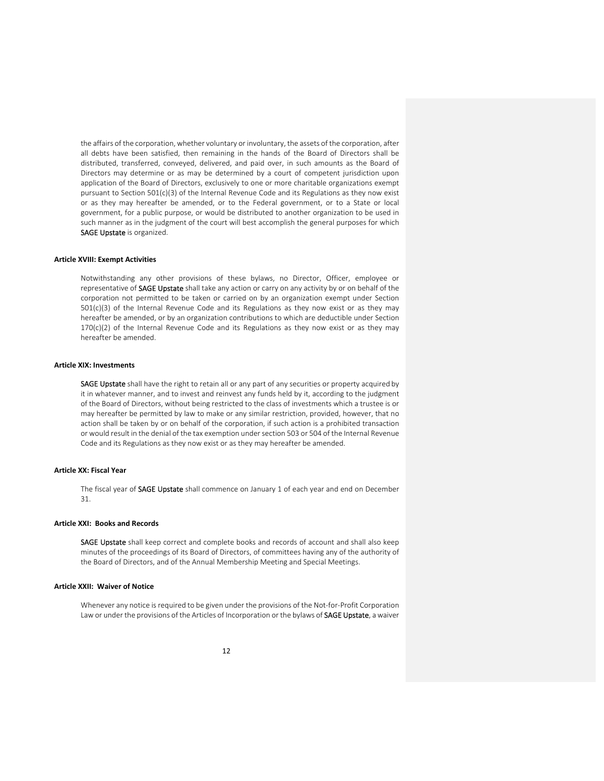the affairs of the corporation, whether voluntary or involuntary, the assets of the corporation, after all debts have been satisfied, then remaining in the hands of the Board of Directors shall be distributed, transferred, conveyed, delivered, and paid over, in such amounts as the Board of Directors may determine or as may be determined by a court of competent jurisdiction upon application of the Board of Directors, exclusively to one or more charitable organizations exempt pursuant to Section 501(c)(3) of the Internal Revenue Code and its Regulations as they now exist or as they may hereafter be amended, or to the Federal government, or to a State or local government, for a public purpose, or would be distributed to another organization to be used in such manner as in the judgment of the court will best accomplish the general purposes for which SAGE Upstate is organized.

#### **Article XVIII: Exempt Activities**

Notwithstanding any other provisions of these bylaws, no Director, Officer, employee or representative of SAGE Upstate shall take any action or carry on any activity by or on behalf of the corporation not permitted to be taken or carried on by an organization exempt under Section 501(c)(3) of the Internal Revenue Code and its Regulations as they now exist or as they may hereafter be amended, or by an organization contributions to which are deductible under Section  $170(c)(2)$  of the Internal Revenue Code and its Regulations as they now exist or as they may hereafter be amended.

#### **Article XIX: Investments**

SAGE Upstate shall have the right to retain all or any part of any securities or property acquired by it in whatever manner, and to invest and reinvest any funds held by it, according to the judgment of the Board of Directors, without being restricted to the class of investments which a trustee is or may hereafter be permitted by law to make or any similar restriction, provided, however, that no action shall be taken by or on behalf of the corporation, if such action is a prohibited transaction or would result in the denial of the tax exemption undersection 503 or 504 of the Internal Revenue Code and its Regulations as they now exist or as they may hereafter be amended.

## **Article XX: Fiscal Year**

The fiscal year of SAGE Upstate shall commence on January 1 of each year and end on December 31.

## **Article XXI: Books and Records**

SAGE Upstate shall keep correct and complete books and records of account and shall also keep minutes of the proceedings of its Board of Directors, of committees having any of the authority of the Board of Directors, and of the Annual Membership Meeting and Special Meetings.

# **Article XXII: Waiver of Notice**

Whenever any notice is required to be given under the provisions of the Not-for-Profit Corporation Law or under the provisions of the Articles of Incorporation or the bylaws of SAGE Upstate, a waiver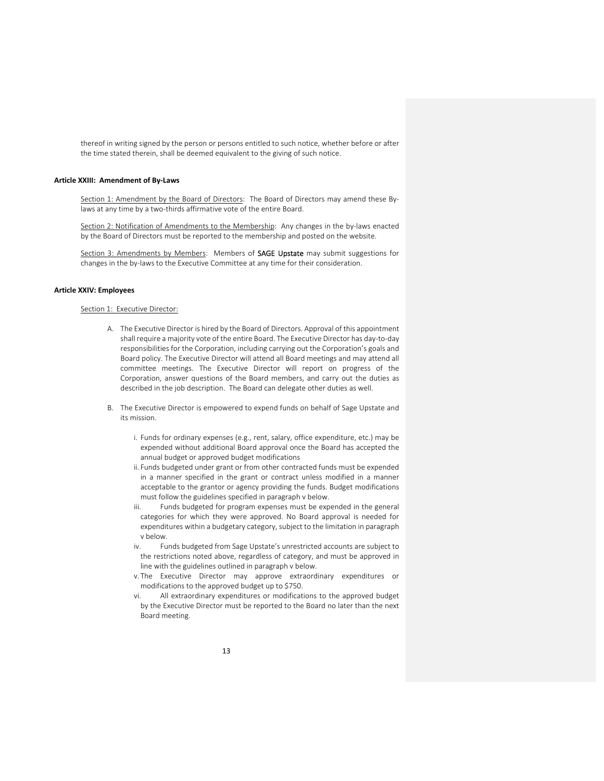thereof in writing signed by the person or persons entitled to such notice, whether before or after the time stated therein, shall be deemed equivalent to the giving of such notice.

## **Article XXIII: Amendment of By‐Laws**

Section 1: Amendment by the Board of Directors: The Board of Directors may amend these Bylaws at any time by a two-thirds affirmative vote of the entire Board.

Section 2: Notification of Amendments to the Membership: Any changes in the by-laws enacted by the Board of Directors must be reported to the membership and posted on the website.

Section 3: Amendments by Members: Members of SAGE Upstate may submit suggestions for changes in the by‐laws to the Executive Committee at any time for their consideration.

# **Article XXIV: Employees**

## Section 1: Executive Director:

- A. The Executive Director is hired by the Board of Directors. Approval of this appointment shall require a majority vote of the entire Board. The Executive Director has day‐to‐day responsibilities for the Corporation, including carrying out the Corporation's goals and Board policy. The Executive Director will attend all Board meetings and may attend all committee meetings. The Executive Director will report on progress of the Corporation, answer questions of the Board members, and carry out the duties as described in the job description. The Board can delegate other duties as well.
- B. The Executive Director is empowered to expend funds on behalf of Sage Upstate and its mission.
	- i. Funds for ordinary expenses (e.g., rent, salary, office expenditure, etc.) may be expended without additional Board approval once the Board has accepted the annual budget or approved budget modifications
	- ii. Funds budgeted under grant or from other contracted funds must be expended in a manner specified in the grant or contract unless modified in a manner acceptable to the grantor or agency providing the funds. Budget modifications must follow the guidelines specified in paragraph v below.
	- iii. Funds budgeted for program expenses must be expended in the general categories for which they were approved. No Board approval is needed for expenditures within a budgetary category, subject to the limitation in paragraph v below.
	- iv. Funds budgeted from Sage Upstate's unrestricted accounts are subject to the restrictions noted above, regardless of category, and must be approved in line with the guidelines outlined in paragraph v below.
	- v. The Executive Director may approve extraordinary expenditures or modifications to the approved budget up to \$750.
	- vi. All extraordinary expenditures or modifications to the approved budget by the Executive Director must be reported to the Board no later than the next Board meeting.